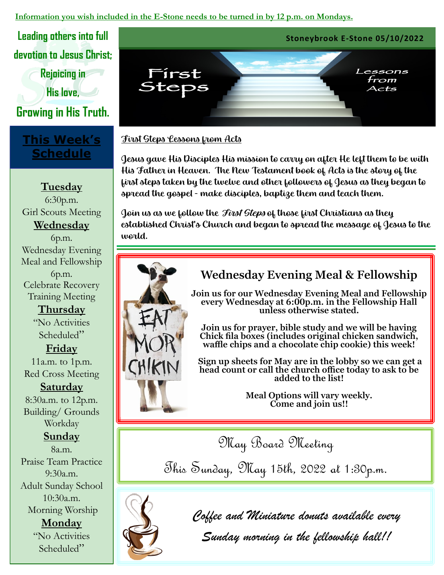#### **Information you wish included in the E-Stone needs to be turned in by 12 p.m. on Mondays.**

**devotion to Jesus Christ;**

**Rejoicing in** 

**His love,** 

**Growing in His Truth.** 

## **This Week's Schedule**

**Tuesday** 6:30p.m. Girl Scouts Meeting **Wednesday**  6p.m. Wednesday Evening Meal and Fellowship 6p.m. Celebrate Recovery Training Meeting

> **Thursday** "No Activities Scheduled"

### **Friday**

11a.m. to 1p.m. Red Cross Meeting

**Saturday**  8:30a.m. to 12p.m. Building/ Grounds Workday

## **Sunday**

8a.m. Praise Team Practice  $9:30a.m.$ Adult Sunday School 10:30a.m. Morning Worship **Monday** "No Activities Scheduled"



#### First Steps Lessons from Acts

Jesus gave His Disciples His mission to carry on after He left them to be with His Father in Heaven. The New Testament book of Acts is the story of the first steps taken by the twelve and other followers of Jesus as they began to spread the gospel - make disciples, baptize them and teach them.

Join us as we follow the *First Steps* of those first Christians as they established Christ's Church and began to spread the message of Jesus to the world.



## **Wednesday Evening Meal & Fellowship**

**Join us for our Wednesday Evening Meal and Fellowship every Wednesday at 6:00p.m. in the Fellowship Hall unless otherwise stated.**

**Join us for prayer, bible study and we will be having Chick fila boxes (includes original chicken sandwich, waffle chips and a chocolate chip cookie) this week!** 

**Sign up sheets for May are in the lobby so we can get a head count or call the church office today to ask to be added to the list!** 

> **Meal Options will vary weekly. Come and join us!!**

May Board Meeting

This Sunday, May 15th, 2022 at 1:30p.m.



*Coffee and Miniature donuts available every* 

*Sunday morning in the fellowship hall!!*